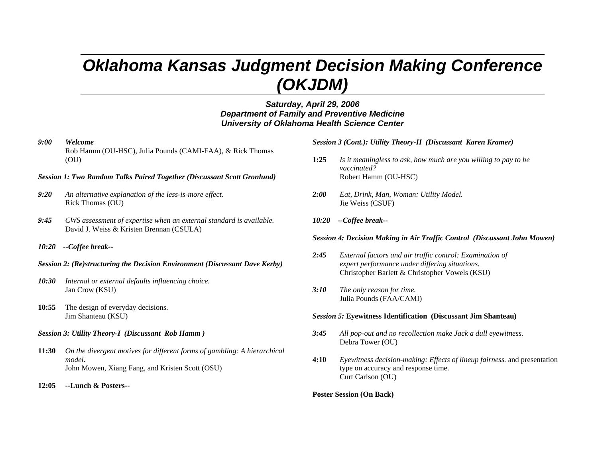# *Oklahoma Kansas Judgment Decision Making Conference (OKJDM)*

# *Saturday, April 29, 2006 Department of Family and Preventive Medicine University of Oklahoma Health Science Center*

#### *9:00 Welcome*

Rob Hamm (OU-HSC), Julia Pounds (CAMI-FAA), & Rick Thomas (OU)

#### *Session 1: Two Random Talks Paired Together (Discussant Scott Gronlund)*

- *9:20 An alternative explanation of the less-is-more effect.*  Rick Thomas (OU)
- *9:45 CWS assessment of expertise when an external standard is available.* David J. Weiss & Kristen Brennan (CSULA)
- *10:20 --Coffee break--*

#### *Session 2: (Re)structuring the Decision Environment (Discussant Dave Kerby)*

- *10:30 Internal or external defaults influencing choice.*  Jan Crow (KSU)
- **10:55** The design of everyday decisions. Jim Shanteau (KSU)

#### *Session 3: Utility Theory-I (Discussant Rob Hamm )*

- **11:30** *On the divergent motives for different forms of gambling: A hierarchical model.* John Mowen, Xiang Fang, and Kristen Scott (OSU)
- **12:05 --Lunch & Posters--**

*Session 3 (Cont.): Utility Theory-II (Discussant Karen Kramer)*

- **1:25** *Is it meaningless to ask, how much are you willing to pay to be vaccinated?* Robert Hamm (OU-HSC)
- *2:00 Eat, Drink, Man, Woman: Utility Model.*  Jie Weiss (CSUF)
- *10:20 --Coffee break--*

### *Session 4: Decision Making in Air Traffic Control (Discussant John Mowen)*

- *2:45 External factors and air traffic control: Examination of expert performance under differing situations.*  Christopher Barlett & Christopher Vowels (KSU)
- *3:10 The only reason for time.*  Julia Pounds (FAA/CAMI)

#### *Session 5:* **Eyewitness Identification (Discussant Jim Shanteau)**

- *3:45 All pop-out and no recollection make Jack a dull eyewitness.*  Debra Tower (OU)
- **4:10** *Eyewitness decision-making: Effects of lineup fairness.* and presentation type on accuracy and response time. Curt Carlson (OU)

#### **Poster Session (On Back)**